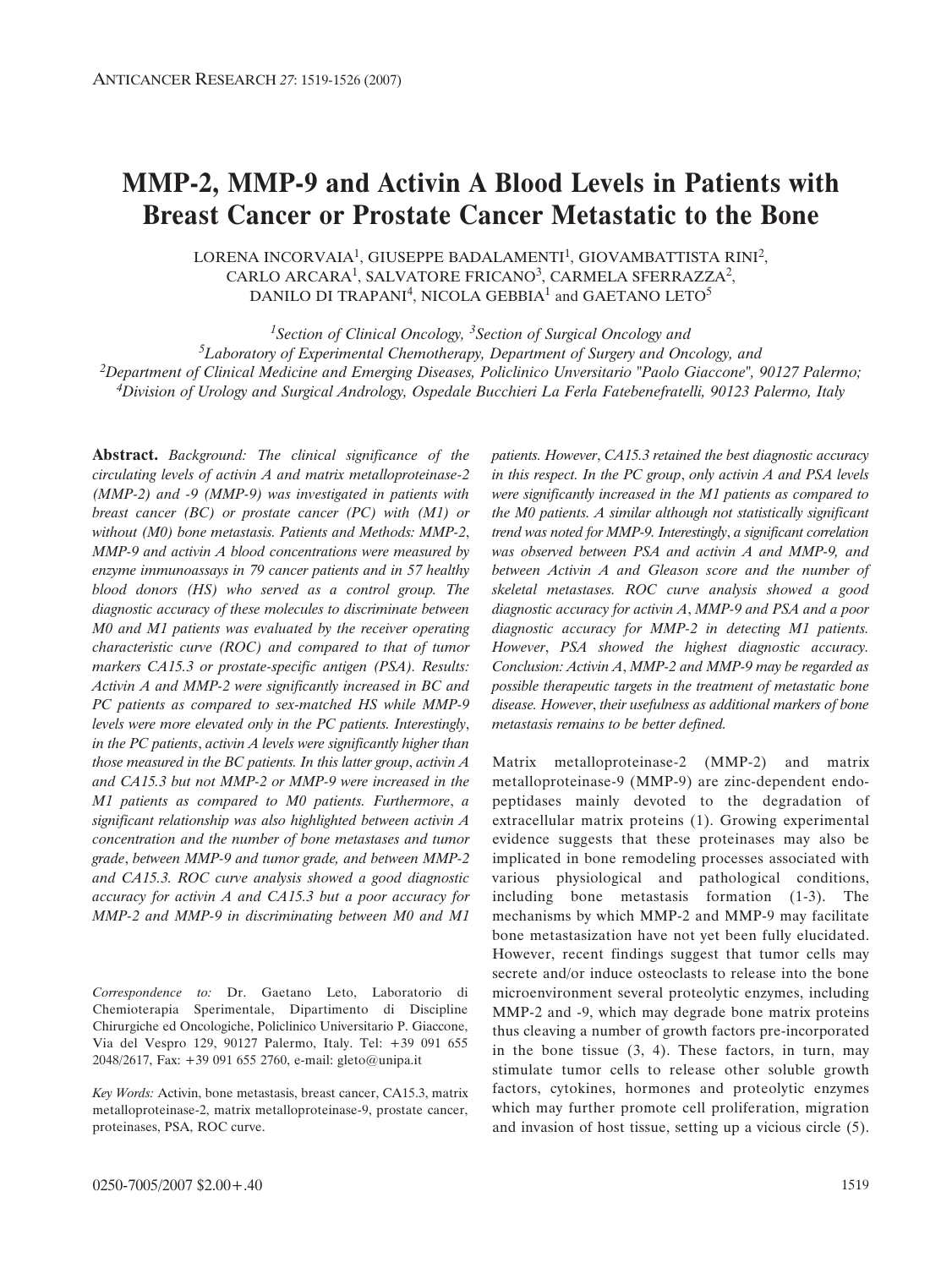# **MMP-2, MMP-9 and Activin A Blood Levels in Patients with Breast Cancer or Prostate Cancer Metastatic to the Bone**

LORENA INCORVAIA<sup>1</sup>, GIUSEPPE BADALAMENTI<sup>1</sup>, GIOVAMBATTISTA RINI<sup>2</sup>, CARLO ARCARA<sup>1</sup>, SALVATORE FRICANO<sup>3</sup>, CARMELA SFERRAZZA<sup>2</sup>, DANILO DI TRAPANI<sup>4</sup>, NICOLA GEBBIA<sup>1</sup> and GAETANO LETO<sup>5</sup>

*1Section of Clinical Oncology, 3Section of Surgical Oncology and 5Laboratory of Experimental Chemotherapy, Department of Surgery and Oncology, and 2Department of Clinical Medicine and Emerging Diseases, Policlinico Unversitario "Paolo Giaccone", 90127 Palermo; 4Division of Urology and Surgical Andrology, Ospedale Bucchieri La Ferla Fatebenefratelli, 90123 Palermo, Italy*

**Abstract.** *Background: The clinical significance of the circulating levels of activin A and matrix metalloproteinase-2 (MMP-2) and -9 (MMP-9) was investigated in patients with breast cancer (BC) or prostate cancer (PC) with (M1) or without (M0) bone metastasis. Patients and Methods: MMP-2*, *MMP-9 and activin A blood concentrations were measured by enzyme immunoassays in 79 cancer patients and in 57 healthy blood donors (HS) who served as a control group. The diagnostic accuracy of these molecules to discriminate between M0 and M1 patients was evaluated by the receiver operating characteristic curve (ROC) and compared to that of tumor markers CA15.3 or prostate-specific antigen (PSA). Results: Activin A and MMP-2 were significantly increased in BC and PC patients as compared to sex-matched HS while MMP-9 levels were more elevated only in the PC patients. Interestingly*, *in the PC patients*, *activin A levels were significantly higher than those measured in the BC patients. In this latter group*, *activin A and CA15.3 but not MMP-2 or MMP-9 were increased in the M1 patients as compared to M0 patients. Furthermore*, *a significant relationship was also highlighted between activin A concentration and the number of bone metastases and tumor grade*, *between MMP-9 and tumor grade, and between MMP-2 and CA15.3. ROC curve analysis showed a good diagnostic accuracy for activin A and CA15.3 but a poor accuracy for MMP-2 and MMP-9 in discriminating between M0 and M1*

*Correspondence to:* Dr. Gaetano Leto, Laboratorio di Chemioterapia Sperimentale, Dipartimento di Discipline Chirurgiche ed Oncologiche, Policlinico Universitario P. Giaccone, Via del Vespro 129, 90127 Palermo, Italy. Tel: +39 091 655 2048/2617, Fax: +39 091 655 2760, e-mail: gleto@unipa.it

*Key Words:* Activin, bone metastasis, breast cancer, CA15.3, matrix metalloproteinase-2, matrix metalloproteinase-9, prostate cancer, proteinases, PSA, ROC curve.

*trend was noted for MMP-9. Interestingly*, *a significant correlation was observed between PSA and activin A and MMP-9, and between Activin A and Gleason score and the number of skeletal metastases. ROC curve analysis showed a good diagnostic accuracy for activin A*, *MMP-9 and PSA and a poor diagnostic accuracy for MMP-2 in detecting M1 patients. However*, *PSA showed the highest diagnostic accuracy. Conclusion: Activin A*, *MMP-2 and MMP-9 may be regarded as possible therapeutic targets in the treatment of metastatic bone disease. However*, *their usefulness as additional markers of bone metastasis remains to be better defined.* Matrix metalloproteinase-2 (MMP-2) and matrix

*patients. However*, *CA15.3 retained the best diagnostic accuracy in this respect. In the PC group*, *only activin A and PSA levels were significantly increased in the M1 patients as compared to the M0 patients. A similar although not statistically significant*

metalloproteinase-9 (MMP-9) are zinc-dependent endopeptidases mainly devoted to the degradation of extracellular matrix proteins (1). Growing experimental evidence suggests that these proteinases may also be implicated in bone remodeling processes associated with various physiological and pathological conditions, including bone metastasis formation (1-3). The mechanisms by which MMP-2 and MMP-9 may facilitate bone metastasization have not yet been fully elucidated. However, recent findings suggest that tumor cells may secrete and/or induce osteoclasts to release into the bone microenvironment several proteolytic enzymes, including MMP-2 and -9, which may degrade bone matrix proteins thus cleaving a number of growth factors pre-incorporated in the bone tissue  $(3, 4)$ . These factors, in turn, may stimulate tumor cells to release other soluble growth factors, cytokines, hormones and proteolytic enzymes which may further promote cell proliferation, migration and invasion of host tissue, setting up a vicious circle (5).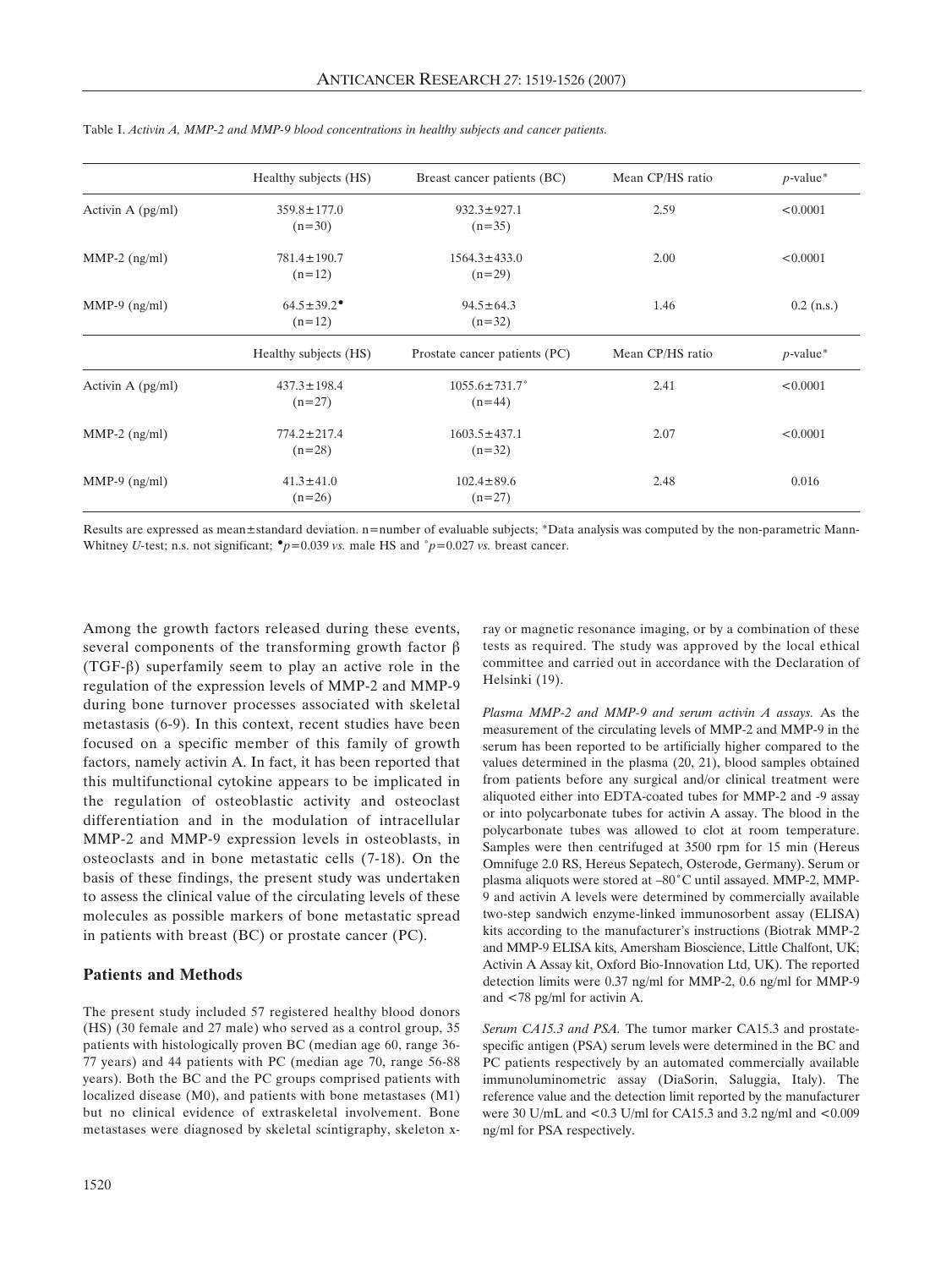|                     | Healthy subjects (HS)                    | Breast cancer patients (BC)      | Mean CP/HS ratio | $p$ -value*  |
|---------------------|------------------------------------------|----------------------------------|------------------|--------------|
| Activin A $(pg/ml)$ | $359.8 \pm 177.0$<br>$(n=30)$            | $932.3 \pm 927.1$<br>$(n=35)$    | 2.59             | < 0.0001     |
| $MMP-2$ (ng/ml)     | $781.4 \pm 190.7$<br>$(n=12)$            | $1564.3 \pm 433.0$<br>$(n=29)$   | < 0.0001<br>2.00 |              |
| MMP-9 $(ng/ml)$     | $64.5 \pm 39.2$ <sup>*</sup><br>$(n=12)$ | $94.5 \pm 64.3$<br>$(n=32)$      | 1.46             | $0.2$ (n.s.) |
|                     | Healthy subjects (HS)                    | Prostate cancer patients (PC)    | Mean CP/HS ratio | $p$ -value*  |
| Activin A $(pg/ml)$ | $437.3 \pm 198.4$<br>$(n=27)$            | $1055.6 \pm 731.7$ °<br>$(n=44)$ | 2.41             | < 0.0001     |
| $MMP-2$ (ng/ml)     | $774.2 \pm 217.4$<br>$(n=28)$            | $1603.5 \pm 437.1$<br>$(n=32)$   | 2.07             | < 0.0001     |
| MMP-9 $(ng/ml)$     | $41.3 \pm 41.0$<br>$(n=26)$              | $102.4 \pm 89.6$<br>$(n=27)$     | 2.48             | 0.016        |

Table I. *Activin A, MMP-2 and MMP-9 blood concentrations in healthy subjects and cancer patients.* 

Results are expressed as mean±standard deviation. n=number of evaluable subjects; \*Data analysis was computed by the non-parametric Mann-Whitney *U*-test; n.s. not significant;  $\degree p = 0.039$  *vs.* male HS and  $\degree p = 0.027$  *vs.* breast cancer.

Among the growth factors released during these events, several components of the transforming growth factor  $\beta$ ( $TGF- $\beta$$ ) superfamily seem to play an active role in the regulation of the expression levels of MMP-2 and MMP-9 during bone turnover processes associated with skeletal metastasis (6-9). In this context, recent studies have been focused on a specific member of this family of growth factors, namely activin A. In fact, it has been reported that this multifunctional cytokine appears to be implicated in the regulation of osteoblastic activity and osteoclast differentiation and in the modulation of intracellular MMP-2 and MMP-9 expression levels in osteoblasts, in osteoclasts and in bone metastatic cells (7-18). On the basis of these findings, the present study was undertaken to assess the clinical value of the circulating levels of these molecules as possible markers of bone metastatic spread in patients with breast (BC) or prostate cancer (PC).

## **Patients and Methods**

The present study included 57 registered healthy blood donors (HS) (30 female and 27 male) who served as a control group, 35 patients with histologically proven BC (median age 60, range 36- 77 years) and 44 patients with PC (median age 70, range 56-88 years). Both the BC and the PC groups comprised patients with localized disease (M0), and patients with bone metastases (M1) but no clinical evidence of extraskeletal involvement. Bone metastases were diagnosed by skeletal scintigraphy, skeleton xray or magnetic resonance imaging, or by a combination of these tests as required. The study was approved by the local ethical committee and carried out in accordance with the Declaration of Helsinki (19).

*Plasma MMP-2 and MMP-9 and serum activin A assays.* As the measurement of the circulating levels of MMP-2 and MMP-9 in the serum has been reported to be artificially higher compared to the values determined in the plasma (20, 21), blood samples obtained from patients before any surgical and/or clinical treatment were aliquoted either into EDTA-coated tubes for MMP-2 and -9 assay or into polycarbonate tubes for activin A assay. The blood in the polycarbonate tubes was allowed to clot at room temperature. Samples were then centrifuged at 3500 rpm for 15 min (Hereus Omnifuge 2.0 RS, Hereus Sepatech, Osterode, Germany). Serum or plasma aliquots were stored at -80°C until assayed. MMP-2, MMP-9 and activin A levels were determined by commercially available two-step sandwich enzyme-linked immunosorbent assay (ELISA) kits according to the manufacturer's instructions (Biotrak MMP-2 and MMP-9 ELISA kits, Amersham Bioscience, Little Chalfont, UK; Activin A Assay kit, Oxford Bio-Innovation Ltd, UK). The reported detection limits were 0.37 ng/ml for MMP-2, 0.6 ng/ml for MMP-9 and <78 pg/ml for activin A.

*Serum CA15.3 and PSA.* The tumor marker CA15.3 and prostatespecific antigen (PSA) serum levels were determined in the BC and PC patients respectively by an automated commercially available immunoluminometric assay (DiaSorin, Saluggia, Italy). The reference value and the detection limit reported by the manufacturer were 30 U/mL and <0.3 U/ml for CA15.3 and 3.2 ng/ml and <0.009 ng/ml for PSA respectively.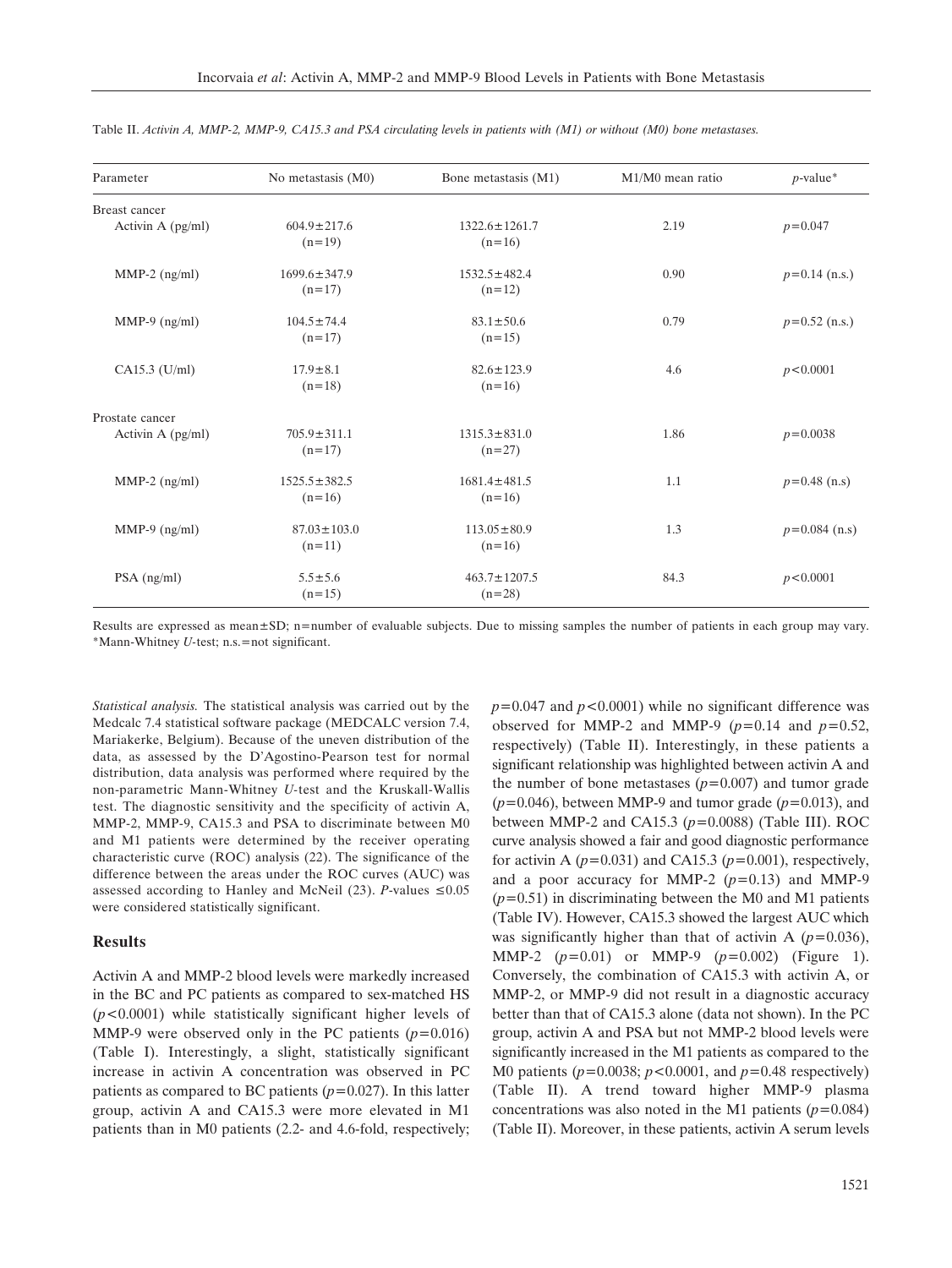| Parameter           | No metastasis (M0) | Bone metastasis (M1) | $M1/M0$ mean ratio | $p$ -value*     |
|---------------------|--------------------|----------------------|--------------------|-----------------|
| Breast cancer       |                    |                      |                    |                 |
| Activin A $(pg/ml)$ | $604.9 \pm 217.6$  | $1322.6 \pm 1261.7$  | 2.19               | $p = 0.047$     |
|                     | $(n=19)$           | $(n=16)$             |                    |                 |
| $MMP-2$ (ng/ml)     | $1699.6 \pm 347.9$ | $1532.5 \pm 482.4$   | 0.90               | $p=0.14$ (n.s.) |
|                     | $(n=17)$           | $(n=12)$             |                    |                 |
| $MMP-9$ (ng/ml)     | $104.5 \pm 74.4$   | $83.1 \pm 50.6$      | 0.79               | $p=0.52$ (n.s.) |
|                     | $(n=17)$           | $(n=15)$             |                    |                 |
| $CA15.3$ (U/ml)     | $17.9 \pm 8.1$     | $82.6 \pm 123.9$     | 4.6                | p < 0.0001      |
|                     | $(n=18)$           | $(n=16)$             |                    |                 |
| Prostate cancer     |                    |                      |                    |                 |
| Activin A (pg/ml)   | $705.9 \pm 311.1$  | $1315.3 \pm 831.0$   | 1.86               | $p = 0.0038$    |
|                     | $(n=17)$           | $(n=27)$             |                    |                 |
| MMP-2 $(ng/ml)$     | $1525.5 \pm 382.5$ | $1681.4 \pm 481.5$   | 1.1                | $p=0.48$ (n.s)  |
|                     | $(n=16)$           | $(n=16)$             |                    |                 |
| MMP-9 $(ng/ml)$     | $87.03 \pm 103.0$  | $113.05 \pm 80.9$    | 1.3                | $p=0.084$ (n.s) |
|                     | $(n=11)$           | $(n=16)$             |                    |                 |
| $PSA$ (ng/ml)       | $5.5 \pm 5.6$      | $463.7 \pm 1207.5$   | 84.3               | p < 0.0001      |
|                     | $(n=15)$           | $(n=28)$             |                    |                 |

Table II. *Activin A, MMP-2, MMP-9, CA15.3 and PSA circulating levels in patients with (M1) or without (M0) bone metastases.*

Results are expressed as mean±SD; n=number of evaluable subjects. Due to missing samples the number of patients in each group may vary. \*Mann-Whitney *U-*test; n.s.=not significant.

*Statistical analysis.* The statistical analysis was carried out by the Medcalc 7.4 statistical software package (MEDCALC version 7.4, Mariakerke, Belgium). Because of the uneven distribution of the data, as assessed by the D'Agostino-Pearson test for normal distribution, data analysis was performed where required by the non-parametric Mann-Whitney *U-*test and the Kruskall-Wallis test. The diagnostic sensitivity and the specificity of activin A, MMP-2, MMP-9, CA15.3 and PSA to discriminate between M0 and M1 patients were determined by the receiver operating characteristic curve (ROC) analysis (22). The significance of the difference between the areas under the ROC curves (AUC) was assessed according to Hanley and McNeil (23). *P*-values  $\leq 0.05$ were considered statistically significant.

#### **Results**

Activin A and MMP-2 blood levels were markedly increased in the BC and PC patients as compared to sex-matched HS (*p<*0.0001) while statistically significant higher levels of MMP-9 were observed only in the PC patients (*p=*0.016) (Table I). Interestingly, a slight, statistically significant increase in activin A concentration was observed in PC patients as compared to BC patients (*p=*0.027). In this latter group, activin A and CA15.3 were more elevated in M1 patients than in M0 patients (2.2- and 4.6-fold, respectively; *p=*0.047 and *p<*0.0001) while no significant difference was observed for MMP-2 and MMP-9  $(p=0.14$  and  $p=0.52$ , respectively) (Table II). Interestingly, in these patients a significant relationship was highlighted between activin A and the number of bone metastases (*p=*0.007) and tumor grade (*p=*0.046), between MMP-9 and tumor grade (*p=*0.013), and between MMP-2 and CA15.3 (*p=*0.0088) (Table III). ROC curve analysis showed a fair and good diagnostic performance for activin A  $(p=0.031)$  and CA15.3  $(p=0.001)$ , respectively, and a poor accuracy for MMP-2 (*p=*0.13) and MMP-9 (*p=*0.51) in discriminating between the M0 and M1 patients (Table IV). However, CA15.3 showed the largest AUC which was significantly higher than that of activin A (*p=*0.036), MMP-2 (*p=*0.01) or MMP-9 (*p=*0.002) (Figure 1). Conversely, the combination of CA15.3 with activin A, or MMP-2, or MMP-9 did not result in a diagnostic accuracy better than that of CA15.3 alone (data not shown). In the PC group, activin A and PSA but not MMP-2 blood levels were significantly increased in the M1 patients as compared to the M0 patients (*p=*0.0038; *p<*0.0001, and *p=*0.48 respectively) (Table II). A trend toward higher MMP-9 plasma concentrations was also noted in the M1 patients (*p=*0.084) (Table II). Moreover, in these patients, activin A serum levels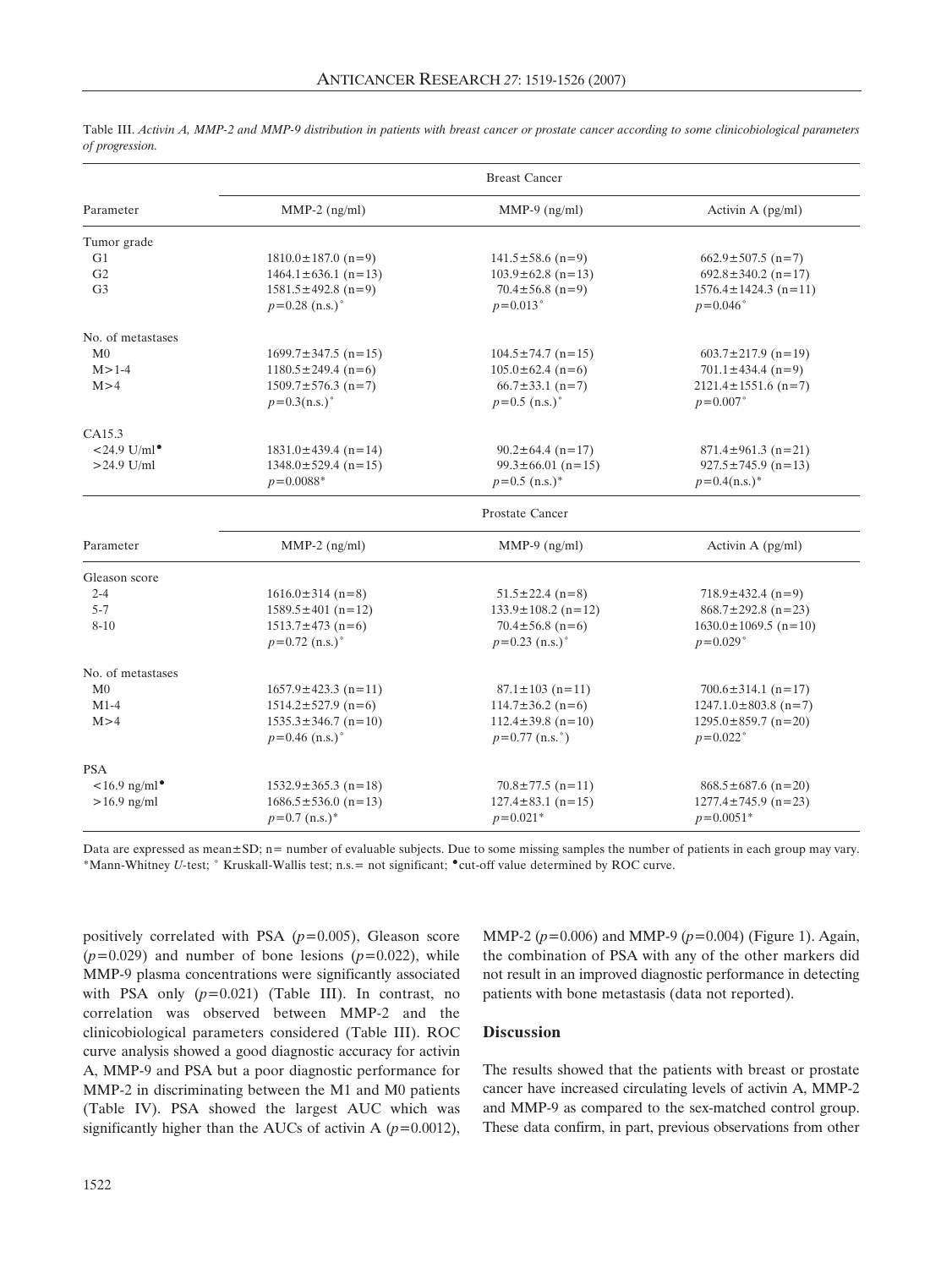|                          | <b>Breast Cancer</b>             |                               |                                  |  |  |
|--------------------------|----------------------------------|-------------------------------|----------------------------------|--|--|
| Parameter                | $MMP-2$ (ng/ml)                  | $MMP-9$ (ng/ml)               | Activin A (pg/ml)                |  |  |
| Tumor grade              |                                  |                               |                                  |  |  |
| G1                       | $1810.0 \pm 187.0$ (n=9)         | $141.5 \pm 58.6$ (n=9)        | $662.9 \pm 507.5$ (n=7)          |  |  |
| G <sub>2</sub>           | $1464.1 \pm 636.1$ (n=13)        | $103.9 \pm 62.8$ (n=13)       | $692.8 \pm 340.2$ (n=17)         |  |  |
| G <sub>3</sub>           | $1581.5 \pm 492.8 \text{ (n=9)}$ | $70.4 \pm 56.8$ (n=9)         | $1576.4 \pm 1424.3$ (n=11)       |  |  |
|                          | $p=0.28$ (n.s.) <sup>o</sup>     | $p = 0.013$ °                 | $p = 0.046$ °                    |  |  |
| No. of metastases        |                                  |                               |                                  |  |  |
| M <sub>0</sub>           | $1699.7 \pm 347.5$ (n=15)        | $104.5 \pm 74.7$ (n=15)       | $603.7 \pm 217.9$ (n=19)         |  |  |
| $M > 1-4$                | $1180.5 \pm 249.4 \text{ (n=6)}$ | $105.0 \pm 62.4$ (n=6)        | $701.1 \pm 434.4 \text{ (n=9)}$  |  |  |
| M > 4                    | $1509.7 \pm 576.3$ (n=7)         | $66.7 \pm 33.1$ (n=7)         | $2121.4 \pm 1551.6$ (n=7)        |  |  |
|                          | $p=0.3(n.s.)$ °                  | $p=0.5$ (n.s.) <sup>o</sup>   | $p = 0.007$ °                    |  |  |
| CA15.3                   |                                  |                               |                                  |  |  |
| $<$ 24.9 U/ml $\bullet$  | $1831.0 \pm 439.4$ (n=14)        | $90.2 \pm 64.4$ (n=17)        | $871.4 \pm 961.3$ (n=21)         |  |  |
| $>24.9$ U/ml             | $1348.0 \pm 529.4$ (n=15)        | $99.3 \pm 66.01$ (n=15)       | $927.5 \pm 745.9$ (n=13)         |  |  |
|                          | $p = 0.0088*$                    | $p=0.5$ (n.s.)*               | $p=0.4(n.s.)$ *                  |  |  |
|                          |                                  | <b>Prostate Cancer</b>        |                                  |  |  |
| Parameter                | $MMP-2$ (ng/ml)                  | $MMP-9$ (ng/ml)               | Activin A $(pg/ml)$              |  |  |
| Gleason score            |                                  |                               |                                  |  |  |
| $2 - 4$                  | $1616.0 \pm 314$ (n=8)           | $51.5 \pm 22.4$ (n=8)         | $718.9 \pm 432.4 \text{ (n=9)}$  |  |  |
| $5 - 7$                  | $1589.5 \pm 401$ (n=12)          | $133.9 \pm 108.2$ (n=12)      | $868.7 \pm 292.8 \text{ (n=23)}$ |  |  |
| $8 - 10$                 | $1513.7 \pm 473$ (n=6)           | $70.4 \pm 56.8$ (n=6)         | $1630.0 \pm 1069.5$ (n=10)       |  |  |
|                          | $p=0.72$ (n.s.) <sup>o</sup>     | $p=0.23$ (n.s.) <sup>o</sup>  | $p = 0.029$ °                    |  |  |
| No. of metastases        |                                  |                               |                                  |  |  |
| M <sub>0</sub>           | $1657.9 \pm 423.3$ (n=11)        | $87.1 \pm 103$ (n=11)         | $700.6 \pm 314.1$ (n=17)         |  |  |
| $M1-4$                   | $1514.2 \pm 527.9$ (n=6)         | $114.7 \pm 36.2$ (n=6)        | $1247.1.0 \pm 803.8$ (n=7)       |  |  |
| M > 4                    | $1535.3 \pm 346.7$ (n=10)        | $112.4 \pm 39.8$ (n=10)       | $1295.0 \pm 859.7$ (n=20)        |  |  |
|                          | $p=0.46$ (n.s.) <sup>o</sup>     | $p=0.77$ (n.s. <sup>o</sup> ) | $p = 0.022$ °                    |  |  |
| <b>PSA</b>               |                                  |                               |                                  |  |  |
| $<$ 16.9 ng/ml $\bullet$ | $1532.9 \pm 365.3$ (n=18)        | $70.8 \pm 77.5$ (n=11)        | $868.5 \pm 687.6$ (n=20)         |  |  |
| $>16.9$ ng/ml            | $1686.5 \pm 536.0$ (n=13)        | $127.4 \pm 83.1$ (n=15)       | $1277.4 \pm 745.9$ (n=23)        |  |  |
|                          | $p=0.7$ (n.s.)*                  | $p=0.021*$                    | $p=0.0051*$                      |  |  |

Table III. *Activin A, MMP-2 and MMP-9 distribution in patients with breast cancer or prostate cancer according to some clinicobiological parameters of progression.*

Data are expressed as mean±SD; n= number of evaluable subjects. Due to some missing samples the number of patients in each group may vary. \*Mann-Whitney *U*-test;  $\degree$  Kruskall-Wallis test; n.s. = not significant;  $\degree$  cut-off value determined by ROC curve.

positively correlated with PSA (*p=*0.005), Gleason score  $(p=0.029)$  and number of bone lesions  $(p=0.022)$ , while MMP-9 plasma concentrations were significantly associated with PSA only (*p=*0.021) (Table III). In contrast, no correlation was observed between MMP-2 and the clinicobiological parameters considered (Table III). ROC curve analysis showed a good diagnostic accuracy for activin A, MMP-9 and PSA but a poor diagnostic performance for MMP-2 in discriminating between the M1 and M0 patients (Table IV). PSA showed the largest AUC which was significantly higher than the AUCs of activin A (*p=*0.0012),

MMP-2 (*p=*0.006) and MMP-9 (*p=*0.004) (Figure 1). Again, the combination of PSA with any of the other markers did not result in an improved diagnostic performance in detecting patients with bone metastasis (data not reported).

### **Discussion**

The results showed that the patients with breast or prostate cancer have increased circulating levels of activin A, MMP-2 and MMP-9 as compared to the sex-matched control group. These data confirm, in part, previous observations from other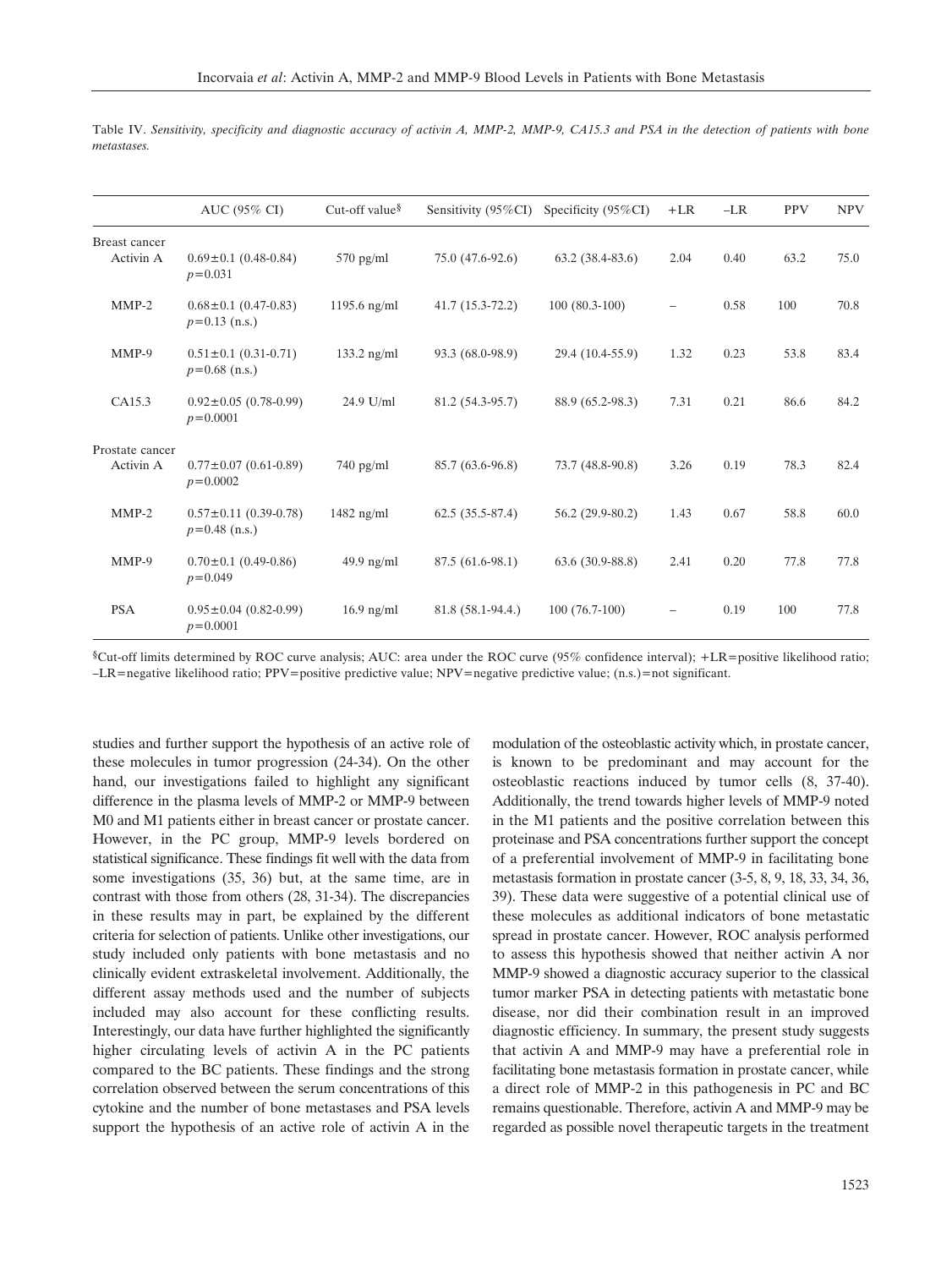|                              | AUC (95% CI)                                   | Cut-off value $\delta$ | Sensitivity (95%CI) | Specificity $(95\%CI)$ | $+LR$ | $-LR$ | <b>PPV</b> | <b>NPV</b> |
|------------------------------|------------------------------------------------|------------------------|---------------------|------------------------|-------|-------|------------|------------|
| Breast cancer<br>Activin A   | $0.69 \pm 0.1$ (0.48-0.84)<br>$p = 0.031$      | $570$ pg/ml            | 75.0 (47.6-92.6)    | $63.2(38.4-83.6)$      | 2.04  | 0.40  | 63.2       | 75.0       |
| $MMP-2$                      | $0.68 \pm 0.1$ (0.47-0.83)<br>$p=0.13$ (n.s.)  | 1195.6 $ng/ml$         | $41.7(15.3-72.2)$   | $100(80.3-100)$        |       | 0.58  | 100        | 70.8       |
| $MMP-9$                      | $0.51 \pm 0.1$ (0.31-0.71)<br>$p=0.68$ (n.s.)  | $133.2$ ng/ml          | 93.3 (68.0-98.9)    | 29.4 (10.4-55.9)       | 1.32  | 0.23  | 53.8       | 83.4       |
| CA15.3                       | $0.92 \pm 0.05$ (0.78-0.99)<br>$p = 0.0001$    | 24.9 U/ml              | 81.2 (54.3-95.7)    | 88.9 (65.2-98.3)       | 7.31  | 0.21  | 86.6       | 84.2       |
| Prostate cancer<br>Activin A | $0.77 \pm 0.07$ (0.61-0.89)<br>$p = 0.0002$    | $740$ pg/ml            | 85.7 (63.6-96.8)    | 73.7 (48.8-90.8)       | 3.26  | 0.19  | 78.3       | 82.4       |
| $MMP-2$                      | $0.57 \pm 0.11$ (0.39-0.78)<br>$p=0.48$ (n.s.) | $1482$ ng/ml           | $62.5(35.5-87.4)$   | 56.2 (29.9-80.2)       | 1.43  | 0.67  | 58.8       | 60.0       |
| $MMP-9$                      | $0.70 \pm 0.1$ (0.49-0.86)<br>$p = 0.049$      | $49.9$ ng/ml           | 87.5 (61.6-98.1)    | $63.6(30.9-88.8)$      | 2.41  | 0.20  | 77.8       | 77.8       |
| <b>PSA</b>                   | $0.95 \pm 0.04$ (0.82-0.99)<br>$p = 0.0001$    | $16.9$ ng/ml           | 81.8 (58.1-94.4.)   | $100(76.7-100)$        |       | 0.19  | 100        | 77.8       |

Table IV. *Sensitivity, specificity and diagnostic accuracy of activin A, MMP-2, MMP-9, CA15.3 and PSA in the detection of patients with bone metastases.*

¨Cut-off limits determined by ROC curve analysis; AUC: area under the ROC curve (95% confidence interval); +LR=positive likelihood ratio; –LR=negative likelihood ratio; PPV=positive predictive value; NPV=negative predictive value; (n.s.)=not significant.

studies and further support the hypothesis of an active role of these molecules in tumor progression (24-34). On the other hand, our investigations failed to highlight any significant difference in the plasma levels of MMP-2 or MMP-9 between M0 and M1 patients either in breast cancer or prostate cancer. However, in the PC group, MMP-9 levels bordered on statistical significance. These findings fit well with the data from some investigations (35, 36) but, at the same time, are in contrast with those from others (28, 31-34). The discrepancies in these results may in part, be explained by the different criteria for selection of patients. Unlike other investigations, our study included only patients with bone metastasis and no clinically evident extraskeletal involvement. Additionally, the different assay methods used and the number of subjects included may also account for these conflicting results. Interestingly, our data have further highlighted the significantly higher circulating levels of activin A in the PC patients compared to the BC patients. These findings and the strong correlation observed between the serum concentrations of this cytokine and the number of bone metastases and PSA levels support the hypothesis of an active role of activin A in the modulation of the osteoblastic activity which, in prostate cancer, is known to be predominant and may account for the osteoblastic reactions induced by tumor cells (8, 37-40). Additionally, the trend towards higher levels of MMP-9 noted in the M1 patients and the positive correlation between this proteinase and PSA concentrations further support the concept of a preferential involvement of MMP-9 in facilitating bone metastasis formation in prostate cancer (3-5, 8, 9, 18, 33, 34, 36, 39). These data were suggestive of a potential clinical use of these molecules as additional indicators of bone metastatic spread in prostate cancer. However, ROC analysis performed to assess this hypothesis showed that neither activin A nor MMP-9 showed a diagnostic accuracy superior to the classical tumor marker PSA in detecting patients with metastatic bone disease, nor did their combination result in an improved diagnostic efficiency. In summary, the present study suggests that activin A and MMP-9 may have a preferential role in facilitating bone metastasis formation in prostate cancer, while a direct role of MMP-2 in this pathogenesis in PC and BC remains questionable. Therefore, activin A and MMP-9 may be regarded as possible novel therapeutic targets in the treatment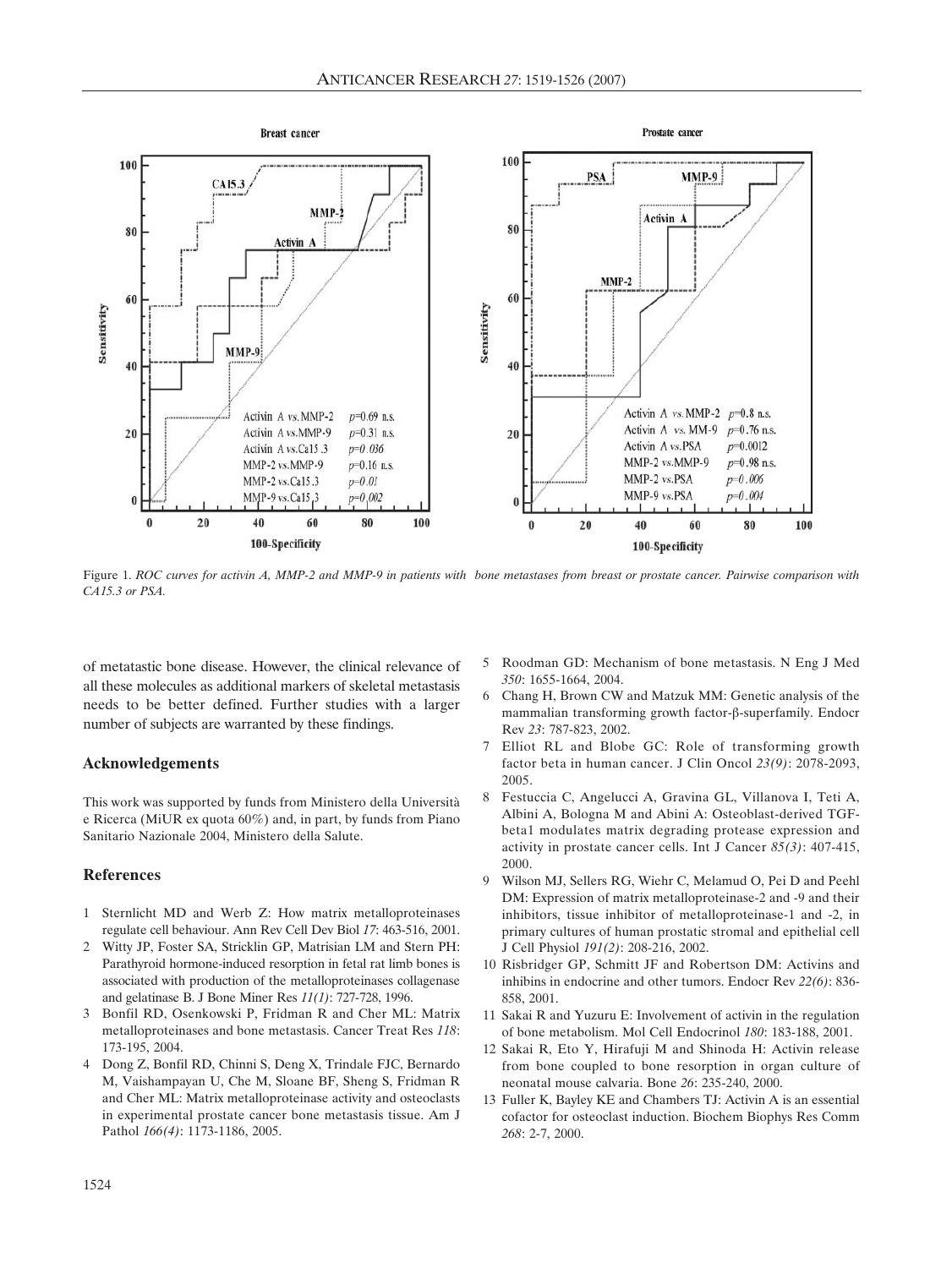

Figure 1. *ROC curves for activin A, MMP-2 and MMP-9 in patients with bone metastases from breast or prostate cancer. Pairwise comparison with CA15.3 or PSA.* 

of metatastic bone disease. However, the clinical relevance of all these molecules as additional markers of skeletal metastasis needs to be better defined. Further studies with a larger number of subjects are warranted by these findings.

#### **Acknowledgements**

This work was supported by funds from Ministero della Università e Ricerca (MiUR ex quota 60%) and, in part, by funds from Piano Sanitario Nazionale 2004, Ministero della Salute.

#### **References**

- 1 Sternlicht MD and Werb Z: How matrix metalloproteinases regulate cell behaviour. Ann Rev Cell Dev Biol *17*: 463-516, 2001.
- 2 Witty JP, Foster SA, Stricklin GP, Matrisian LM and Stern PH: Parathyroid hormone-induced resorption in fetal rat limb bones is associated with production of the metalloproteinases collagenase and gelatinase B. J Bone Miner Res *11(1)*: 727-728, 1996.
- 3 Bonfil RD, Osenkowski P, Fridman R and Cher ML: Matrix metalloproteinases and bone metastasis. Cancer Treat Res *118*: 173-195, 2004.
- 4 Dong Z, Bonfil RD, Chinni S, Deng X, Trindale FJC, Bernardo M, Vaishampayan U, Che M, Sloane BF, Sheng S, Fridman R and Cher ML: Matrix metalloproteinase activity and osteoclasts in experimental prostate cancer bone metastasis tissue. Am J Pathol *166(4)*: 1173-1186, 2005.
- 5 Roodman GD: Mechanism of bone metastasis. N Eng J Med *350*: 1655-1664, 2004.
- 6 Chang H, Brown CW and Matzuk MM: Genetic analysis of the mammalian transforming growth factor- $\beta$ -superfamily. Endocr Rev *23*: 787-823, 2002.
- 7 Elliot RL and Blobe GC: Role of transforming growth factor beta in human cancer. J Clin Oncol *23(9)*: 2078-2093, 2005.
- 8 Festuccia C, Angelucci A, Gravina GL, Villanova I, Teti A, Albini A, Bologna M and Abini A: Osteoblast-derived TGFbeta1 modulates matrix degrading protease expression and activity in prostate cancer cells. Int J Cancer *85(3)*: 407-415, 2000.
- 9 Wilson MJ, Sellers RG, Wiehr C, Melamud O, Pei D and Peehl DM: Expression of matrix metalloproteinase-2 and -9 and their inhibitors, tissue inhibitor of metalloproteinase-1 and -2, in primary cultures of human prostatic stromal and epithelial cell J Cell Physiol *191(2)*: 208-216, 2002.
- 10 Risbridger GP, Schmitt JF and Robertson DM: Activins and inhibins in endocrine and other tumors. Endocr Rev *22(6)*: 836- 858, 2001.
- 11 Sakai R and Yuzuru E: Involvement of activin in the regulation of bone metabolism. Mol Cell Endocrinol *180*: 183-188, 2001.
- 12 Sakai R, Eto Y, Hirafuji M and Shinoda H: Activin release from bone coupled to bone resorption in organ culture of neonatal mouse calvaria. Bone *26*: 235-240, 2000.
- 13 Fuller K, Bayley KE and Chambers TJ: Activin A is an essential cofactor for osteoclast induction. Biochem Biophys Res Comm *268*: 2-7, 2000.